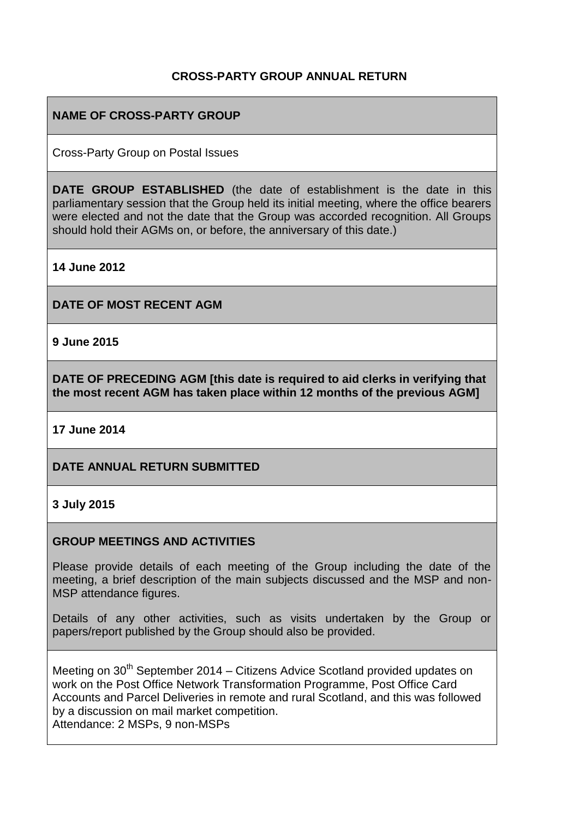#### **CROSS-PARTY GROUP ANNUAL RETURN**

## **NAME OF CROSS-PARTY GROUP**

Cross-Party Group on Postal Issues

**DATE GROUP ESTABLISHED** (the date of establishment is the date in this parliamentary session that the Group held its initial meeting, where the office bearers were elected and not the date that the Group was accorded recognition. All Groups should hold their AGMs on, or before, the anniversary of this date.)

**14 June 2012**

**DATE OF MOST RECENT AGM**

**9 June 2015**

**DATE OF PRECEDING AGM [this date is required to aid clerks in verifying that the most recent AGM has taken place within 12 months of the previous AGM]**

**17 June 2014**

#### **DATE ANNUAL RETURN SUBMITTED**

#### **3 July 2015**

#### **GROUP MEETINGS AND ACTIVITIES**

Please provide details of each meeting of the Group including the date of the meeting, a brief description of the main subjects discussed and the MSP and non-MSP attendance figures.

Details of any other activities, such as visits undertaken by the Group or papers/report published by the Group should also be provided.

Meeting on  $30<sup>th</sup>$  September 2014 – Citizens Advice Scotland provided updates on work on the Post Office Network Transformation Programme, Post Office Card Accounts and Parcel Deliveries in remote and rural Scotland, and this was followed by a discussion on mail market competition. Attendance: 2 MSPs, 9 non-MSPs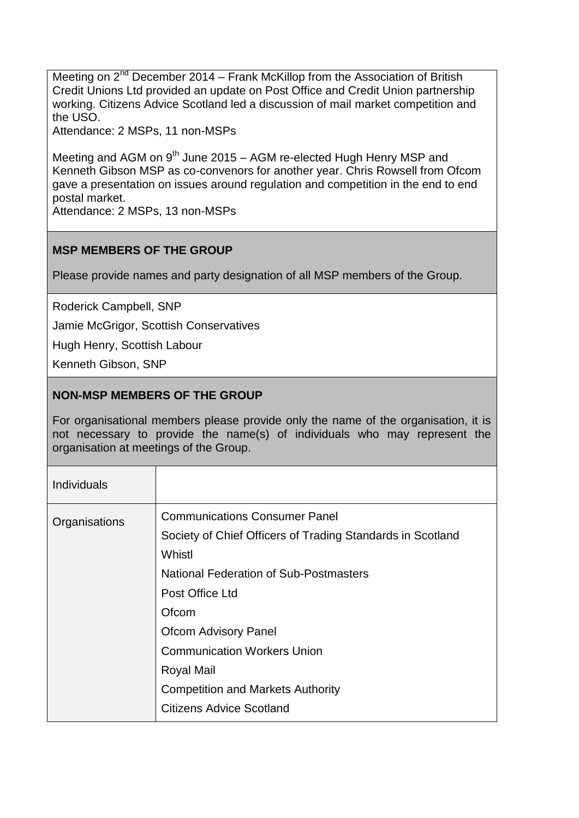Meeting on  $2^{nd}$  December 2014 – Frank McKillop from the Association of British Credit Unions Ltd provided an update on Post Office and Credit Union partnership working. Citizens Advice Scotland led a discussion of mail market competition and the USO.

Attendance: 2 MSPs, 11 non-MSPs

Meeting and AGM on  $9<sup>th</sup>$  June 2015 – AGM re-elected Hugh Henry MSP and Kenneth Gibson MSP as co-convenors for another year. Chris Rowsell from Ofcom gave a presentation on issues around regulation and competition in the end to end postal market.

Attendance: 2 MSPs, 13 non-MSPs

# **MSP MEMBERS OF THE GROUP**

Please provide names and party designation of all MSP members of the Group.

Roderick Campbell, SNP

Jamie McGrigor, Scottish Conservatives

Hugh Henry, Scottish Labour

Kenneth Gibson, SNP

## **NON-MSP MEMBERS OF THE GROUP**

For organisational members please provide only the name of the organisation, it is not necessary to provide the name(s) of individuals who may represent the organisation at meetings of the Group.

| <b>Individuals</b> |                                                                                                                                                                                                                                                                                                                                                                    |
|--------------------|--------------------------------------------------------------------------------------------------------------------------------------------------------------------------------------------------------------------------------------------------------------------------------------------------------------------------------------------------------------------|
| Organisations      | <b>Communications Consumer Panel</b><br>Society of Chief Officers of Trading Standards in Scotland<br>Whistl<br><b>National Federation of Sub-Postmasters</b><br>Post Office Ltd<br>Ofcom<br><b>Ofcom Advisory Panel</b><br><b>Communication Workers Union</b><br><b>Royal Mail</b><br><b>Competition and Markets Authority</b><br><b>Citizens Advice Scotland</b> |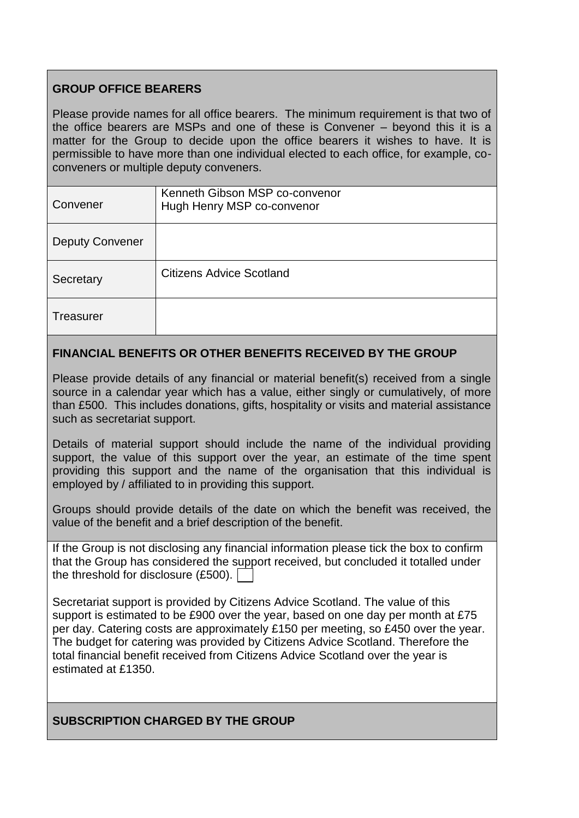## **GROUP OFFICE BEARERS**

Please provide names for all office bearers. The minimum requirement is that two of the office bearers are MSPs and one of these is Convener – beyond this it is a matter for the Group to decide upon the office bearers it wishes to have. It is permissible to have more than one individual elected to each office, for example, coconveners or multiple deputy conveners.

| Convener               | Kenneth Gibson MSP co-convenor<br>Hugh Henry MSP co-convenor |
|------------------------|--------------------------------------------------------------|
| <b>Deputy Convener</b> |                                                              |
| Secretary              | <b>Citizens Advice Scotland</b>                              |
| Treasurer              |                                                              |

## **FINANCIAL BENEFITS OR OTHER BENEFITS RECEIVED BY THE GROUP**

Please provide details of any financial or material benefit(s) received from a single source in a calendar year which has a value, either singly or cumulatively, of more than £500. This includes donations, gifts, hospitality or visits and material assistance such as secretariat support.

Details of material support should include the name of the individual providing support, the value of this support over the year, an estimate of the time spent providing this support and the name of the organisation that this individual is employed by / affiliated to in providing this support.

Groups should provide details of the date on which the benefit was received, the value of the benefit and a brief description of the benefit.

| If the Group is not disclosing any financial information please tick the box to confirm |
|-----------------------------------------------------------------------------------------|
| that the Group has considered the support received, but concluded it totalled under     |
| the threshold for disclosure $(E500)$ .                                                 |

Secretariat support is provided by Citizens Advice Scotland. The value of this support is estimated to be £900 over the year, based on one day per month at £75 per day. Catering costs are approximately £150 per meeting, so £450 over the year. The budget for catering was provided by Citizens Advice Scotland. Therefore the total financial benefit received from Citizens Advice Scotland over the year is estimated at £1350.

#### **SUBSCRIPTION CHARGED BY THE GROUP**